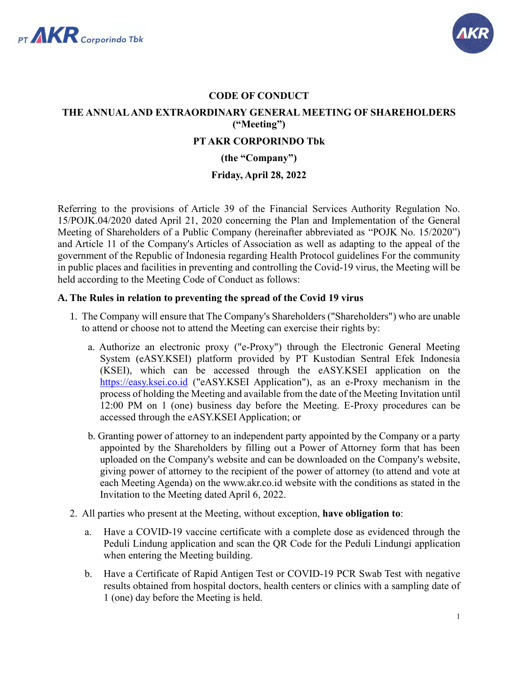



# **CODE OF CONDUCT THE ANNUAL AND EXTRAORDINARY GENERAL MEETING OF SHAREHOLDERS ("Meeting") PT AKR CORPORINDO Tbk (the "Company")**

**Friday, April 28, 2022**

Referring to the provisions of Article 39 of the Financial Services Authority Regulation No. 15/POJK.04/2020 dated April 21, 2020 concerning the Plan and Implementation of the General Meeting of Shareholders of a Public Company (hereinafter abbreviated as "POJK No. 15/2020") and Article 11 of the Company's Articles of Association as well as adapting to the appeal of the government of the Republic of Indonesia regarding Health Protocol guidelines For the community in public places and facilities in preventing and controlling the Covid-19 virus, the Meeting will be held according to the Meeting Code of Conduct as follows:

## **A. The Rules in relation to preventing the spread of the Covid 19 virus**

- 1. The Company will ensure that The Company's Shareholders ("Shareholders") who are unable to attend or choose not to attend the Meeting can exercise their rights by:
	- a. Authorize an electronic proxy ("e-Proxy") through the Electronic General Meeting System (eASY.KSEI) platform provided by PT Kustodian Sentral Efek Indonesia (KSEI), which can be accessed through the eASY.KSEI application on the [https://easy.ksei.co.id](https://easy.ksei.co.id/) ("eASY.KSEI Application"), as an e-Proxy mechanism in the process of holding the Meeting and available from the date of the Meeting Invitation until 12:00 PM on 1 (one) business day before the Meeting. E-Proxy procedures can be accessed through the eASY.KSEI Application; or
	- b. Granting power of attorney to an independent party appointed by the Company or a party appointed by the Shareholders by filling out a Power of Attorney form that has been uploaded on the Company's website and can be downloaded on the Company's website, giving power of attorney to the recipient of the power of attorney (to attend and vote at each Meeting Agenda) on the www.akr.co.id website with the conditions as stated in the Invitation to the Meeting dated April 6, 2022.
- 2. All parties who present at the Meeting, without exception, **have obligation to**:
	- a. Have a COVID-19 vaccine certificate with a complete dose as evidenced through the Peduli Lindung application and scan the QR Code for the Peduli Lindungi application when entering the Meeting building.
	- b. Have a Certificate of Rapid Antigen Test or COVID-19 PCR Swab Test with negative results obtained from hospital doctors, health centers or clinics with a sampling date of 1 (one) day before the Meeting is held.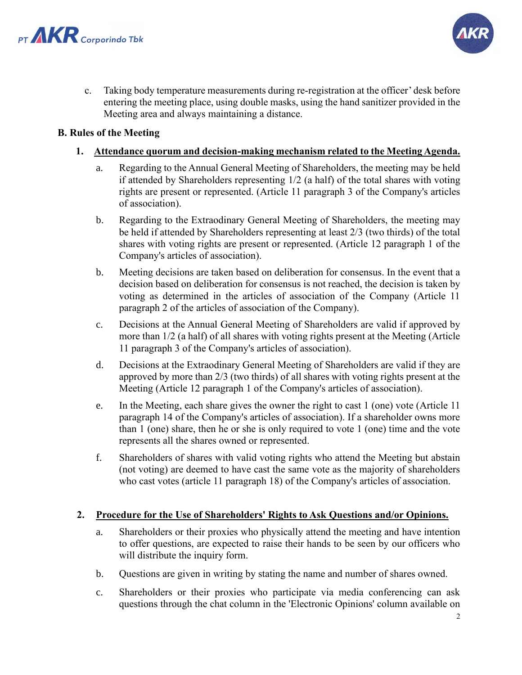



c. Taking body temperature measurements during re-registration at the officer' desk before entering the meeting place, using double masks, using the hand sanitizer provided in the Meeting area and always maintaining a distance.

### **B. Rules of the Meeting**

### **1. Attendance quorum and decision-making mechanism related to the Meeting Agenda.**

- a. Regarding to the Annual General Meeting of Shareholders, the meeting may be held if attended by Shareholders representing 1/2 (a half) of the total shares with voting rights are present or represented. (Article 11 paragraph 3 of the Company's articles of association).
- b. Regarding to the Extraodinary General Meeting of Shareholders, the meeting may be held if attended by Shareholders representing at least 2/3 (two thirds) of the total shares with voting rights are present or represented. (Article 12 paragraph 1 of the Company's articles of association).
- b. Meeting decisions are taken based on deliberation for consensus. In the event that a decision based on deliberation for consensus is not reached, the decision is taken by voting as determined in the articles of association of the Company (Article 11 paragraph 2 of the articles of association of the Company).
- c. Decisions at the Annual General Meeting of Shareholders are valid if approved by more than 1/2 (a half) of all shares with voting rights present at the Meeting (Article 11 paragraph 3 of the Company's articles of association).
- d. Decisions at the Extraodinary General Meeting of Shareholders are valid if they are approved by more than 2/3 (two thirds) of all shares with voting rights present at the Meeting (Article 12 paragraph 1 of the Company's articles of association).
- e. In the Meeting, each share gives the owner the right to cast 1 (one) vote (Article 11 paragraph 14 of the Company's articles of association). If a shareholder owns more than 1 (one) share, then he or she is only required to vote 1 (one) time and the vote represents all the shares owned or represented.
- f. Shareholders of shares with valid voting rights who attend the Meeting but abstain (not voting) are deemed to have cast the same vote as the majority of shareholders who cast votes (article 11 paragraph 18) of the Company's articles of association.

#### **2. Procedure for the Use of Shareholders' Rights to Ask Questions and/or Opinions.**

- a. Shareholders or their proxies who physically attend the meeting and have intention to offer questions, are expected to raise their hands to be seen by our officers who will distribute the inquiry form.
- b. Questions are given in writing by stating the name and number of shares owned.
- c. Shareholders or their proxies who participate via media conferencing can ask questions through the chat column in the 'Electronic Opinions' column available on